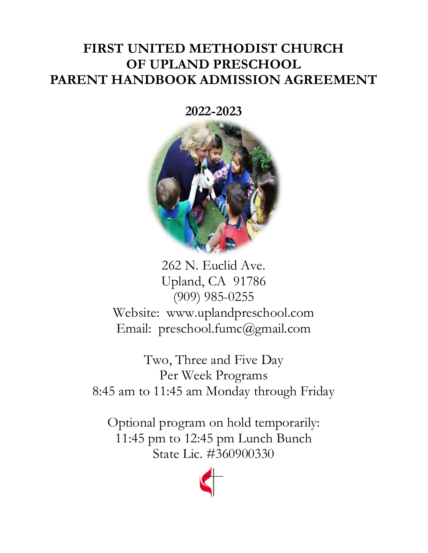# FIRST UNITED METHODIST CHURCH OF UPLAND PRESCHOOL PARENT HANDBOOK ADMISSION AGREEMENT

2022-2023



262 N. Euclid Ave. Upland, CA 91786 (909) 985-0255 Website: www.uplandpreschool.com Email: preschool.fumc@gmail.com

Two, Three and Five Day Per Week Programs 8:45 am to 11:45 am Monday through Friday

Optional program on hold temporarily: 11:45 pm to 12:45 pm Lunch Bunch State Lic. #360900330

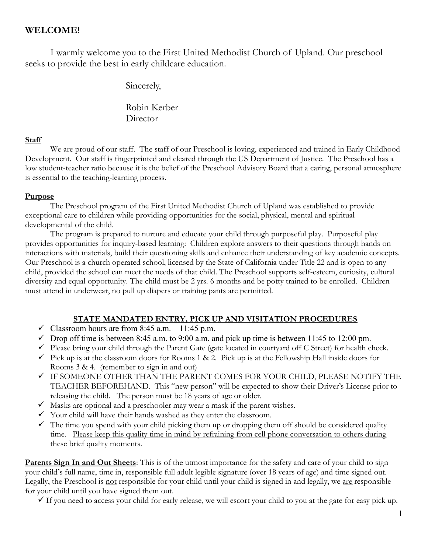## WELCOME!

I warmly welcome you to the First United Methodist Church of Upland. Our preschool seeks to provide the best in early childcare education.

Sincerely,

 Robin Kerber **Director** 

#### **Staff**

We are proud of our staff. The staff of our Preschool is loving, experienced and trained in Early Childhood Development. Our staff is fingerprinted and cleared through the US Department of Justice. The Preschool has a low student-teacher ratio because it is the belief of the Preschool Advisory Board that a caring, personal atmosphere is essential to the teaching-learning process.

#### Purpose

 The Preschool program of the First United Methodist Church of Upland was established to provide exceptional care to children while providing opportunities for the social, physical, mental and spiritual developmental of the child.

 The program is prepared to nurture and educate your child through purposeful play. Purposeful play provides opportunities for inquiry-based learning: Children explore answers to their questions through hands on interactions with materials, build their questioning skills and enhance their understanding of key academic concepts. Our Preschool is a church operated school, licensed by the State of California under Title 22 and is open to any child, provided the school can meet the needs of that child. The Preschool supports self-esteem, curiosity, cultural diversity and equal opportunity. The child must be 2 yrs. 6 months and be potty trained to be enrolled. Children must attend in underwear, no pull up diapers or training pants are permitted.

#### STATE MANDATED ENTRY, PICK UP AND VISITATION PROCEDURES

- $\checkmark$  Classroom hours are from 8:45 a.m. 11:45 p.m.
- $\checkmark$  Drop off time is between 8:45 a.m. to 9:00 a.m. and pick up time is between 11:45 to 12:00 pm.
- $\checkmark$  Please bring your child through the Parent Gate (gate located in courtyard off C Street) for health check.
- $\checkmark$  Pick up is at the classroom doors for Rooms 1 & 2. Pick up is at the Fellowship Hall inside doors for Rooms 3 & 4. (remember to sign in and out)
- $\checkmark$  IF SOMEONE OTHER THAN THE PARENT COMES FOR YOUR CHILD, PLEASE NOTIFY THE TEACHER BEFOREHAND. This "new person" will be expected to show their Driver's License prior to releasing the child. The person must be 18 years of age or older.
- $\checkmark$  Masks are optional and a preschooler may wear a mask if the parent wishes.
- $\checkmark$  Your child will have their hands washed as they enter the classroom.
- $\checkmark$  The time you spend with your child picking them up or dropping them off should be considered quality time. Please keep this quality time in mind by refraining from cell phone conversation to others during these brief quality moments.

Parents Sign In and Out Sheets: This is of the utmost importance for the safety and care of your child to sign your child's full name, time in, responsible full adult legible signature (over 18 years of age) and time signed out. Legally, the Preschool is not responsible for your child until your child is signed in and legally, we are responsible for your child until you have signed them out.

 $\checkmark$  If you need to access your child for early release, we will escort your child to you at the gate for easy pick up.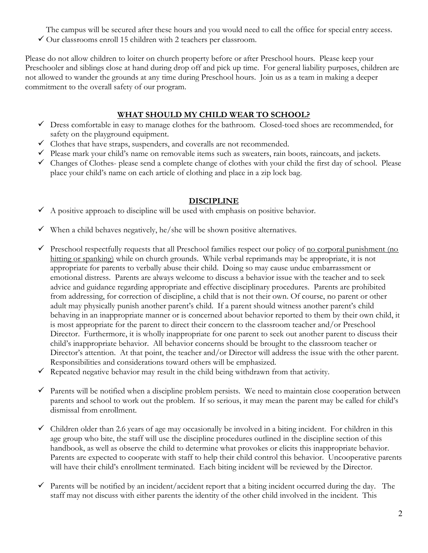The campus will be secured after these hours and you would need to call the office for special entry access.  $\checkmark$  Our classrooms enroll 15 children with 2 teachers per classroom.

Please do not allow children to loiter on church property before or after Preschool hours. Please keep your Preschooler and siblings close at hand during drop off and pick up time. For general liability purposes, children are not allowed to wander the grounds at any time during Preschool hours. Join us as a team in making a deeper commitment to the overall safety of our program.

## WHAT SHOULD MY CHILD WEAR TO SCHOOL?

- $\checkmark$  Dress comfortable in easy to manage clothes for the bathroom. Closed-toed shoes are recommended, for safety on the playground equipment.
- Clothes that have straps, suspenders, and coveralls are not recommended.
- $\checkmark$  Please mark your child's name on removable items such as sweaters, rain boots, raincoats, and jackets.
- $\checkmark$  Changes of Clothes- please send a complete change of clothes with your child the first day of school. Please place your child's name on each article of clothing and place in a zip lock bag.

#### DISCIPLINE

- $\checkmark$  A positive approach to discipline will be used with emphasis on positive behavior.
- $\checkmark$  When a child behaves negatively, he/she will be shown positive alternatives.
- $\checkmark$  Preschool respectfully requests that all Preschool families respect our policy of <u>no corporal punishment (no</u> hitting or spanking) while on church grounds. While verbal reprimands may be appropriate, it is not appropriate for parents to verbally abuse their child. Doing so may cause undue embarrassment or emotional distress. Parents are always welcome to discuss a behavior issue with the teacher and to seek advice and guidance regarding appropriate and effective disciplinary procedures. Parents are prohibited from addressing, for correction of discipline, a child that is not their own. Of course, no parent or other adult may physically punish another parent's child. If a parent should witness another parent's child behaving in an inappropriate manner or is concerned about behavior reported to them by their own child, it is most appropriate for the parent to direct their concern to the classroom teacher and/or Preschool Director. Furthermore, it is wholly inappropriate for one parent to seek out another parent to discuss their child's inappropriate behavior. All behavior concerns should be brought to the classroom teacher or Director's attention. At that point, the teacher and/or Director will address the issue with the other parent. Responsibilities and considerations toward others will be emphasized.
- $\checkmark$  Repeated negative behavior may result in the child being withdrawn from that activity.
- $\checkmark$  Parents will be notified when a discipline problem persists. We need to maintain close cooperation between parents and school to work out the problem. If so serious, it may mean the parent may be called for child's dismissal from enrollment.
- $\checkmark$  Children older than 2.6 years of age may occasionally be involved in a biting incident. For children in this age group who bite, the staff will use the discipline procedures outlined in the discipline section of this handbook, as well as observe the child to determine what provokes or elicits this inappropriate behavior. Parents are expected to cooperate with staff to help their child control this behavior. Uncooperative parents will have their child's enrollment terminated. Each biting incident will be reviewed by the Director.
- Parents will be notified by an incident/accident report that a biting incident occurred during the day. The staff may not discuss with either parents the identity of the other child involved in the incident. This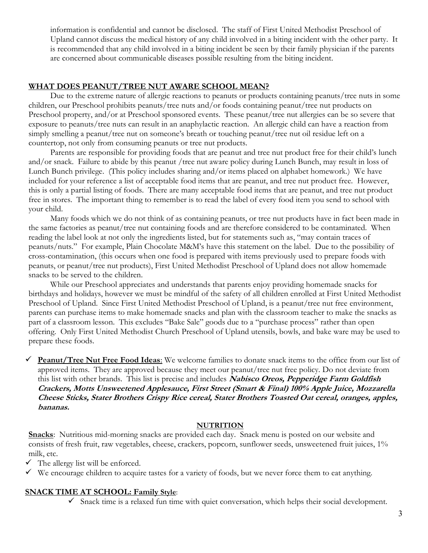information is confidential and cannot be disclosed. The staff of First United Methodist Preschool of Upland cannot discuss the medical history of any child involved in a biting incident with the other party. It is recommended that any child involved in a biting incident be seen by their family physician if the parents are concerned about communicable diseases possible resulting from the biting incident.

#### WHAT DOES PEANUT/TREE NUT AWARE SCHOOL MEAN?

Due to the extreme nature of allergic reactions to peanuts or products containing peanuts/tree nuts in some children, our Preschool prohibits peanuts/tree nuts and/or foods containing peanut/tree nut products on Preschool property, and/or at Preschool sponsored events. These peanut/tree nut allergies can be so severe that exposure to peanuts/tree nuts can result in an anaphylactic reaction. An allergic child can have a reaction from simply smelling a peanut/tree nut on someone's breath or touching peanut/tree nut oil residue left on a countertop, not only from consuming peanuts or tree nut products.

Parents are responsible for providing foods that are peanut and tree nut product free for their child's lunch and/or snack. Failure to abide by this peanut /tree nut aware policy during Lunch Bunch, may result in loss of Lunch Bunch privilege. (This policy includes sharing and/or items placed on alphabet homework.) We have included for your reference a list of acceptable food items that are peanut, and tree nut product free. However, this is only a partial listing of foods. There are many acceptable food items that are peanut, and tree nut product free in stores. The important thing to remember is to read the label of every food item you send to school with your child.

Many foods which we do not think of as containing peanuts, or tree nut products have in fact been made in the same factories as peanut/tree nut containing foods and are therefore considered to be contaminated. When reading the label look at not only the ingredients listed, but for statements such as, "may contain traces of peanuts/nuts." For example, Plain Chocolate M&M's have this statement on the label. Due to the possibility of cross-contamination, (this occurs when one food is prepared with items previously used to prepare foods with peanuts, or peanut/tree nut products), First United Methodist Preschool of Upland does not allow homemade snacks to be served to the children.

While our Preschool appreciates and understands that parents enjoy providing homemade snacks for birthdays and holidays, however we must be mindful of the safety of all children enrolled at First United Methodist Preschool of Upland. Since First United Methodist Preschool of Upland, is a peanut/tree nut free environment, parents can purchase items to make homemade snacks and plan with the classroom teacher to make the snacks as part of a classroom lesson. This excludes "Bake Sale" goods due to a "purchase process" rather than open offering. Only First United Methodist Church Preschool of Upland utensils, bowls, and bake ware may be used to prepare these foods.

Peanut/Tree Nut Free Food Ideas: We welcome families to donate snack items to the office from our list of approved items. They are approved because they meet our peanut/tree nut free policy. Do not deviate from this list with other brands. This list is precise and includes Nabisco Oreos, Pepperidge Farm Goldfish Crackers, Motts Unsweetened Applesauce, First Street (Smart & Final) 100% Apple Juice, Mozzarella Cheese Sticks, Stater Brothers Crispy Rice cereal, Stater Brothers Toasted Oat cereal, oranges, apples, bananas.

#### **NUTRITION**

Snacks: Nutritious mid-morning snacks are provided each day. Snack menu is posted on our website and consists of fresh fruit, raw vegetables, cheese, crackers, popcorn, sunflower seeds, unsweetened fruit juices, 1% milk, etc.

- $\checkmark$  The allergy list will be enforced.
- We encourage children to acquire tastes for a variety of foods, but we never force them to eat anything.

#### SNACK TIME AT SCHOOL: Family Style:

 $\checkmark$  Snack time is a relaxed fun time with quiet conversation, which helps their social development.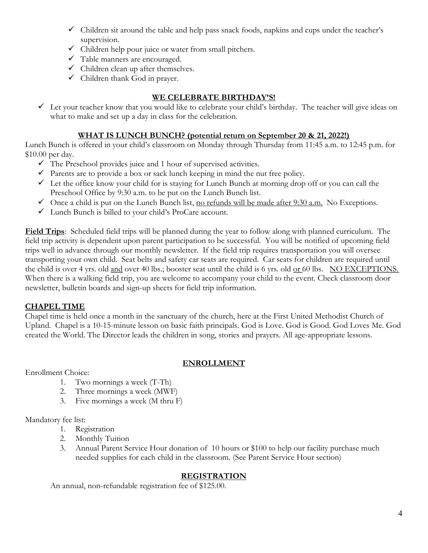- $\checkmark$  Children sit around the table and help pass snack foods, napkins and cups under the teacher's supervision.
- $\checkmark$  Children help pour juice or water from small pitchers.
- Table manners are encouraged.
- $\checkmark$  Children clean up after themselves.
- $\checkmark$  Children thank God in prayer.

## WE CELEBRATE BIRTHDAY'S!

 $\checkmark$  Let your teacher know that you would like to celebrate your child's birthday. The teacher will give ideas on what to make and set up a day in class for the celebration.

## WHAT IS LUNCH BUNCH? (potential return on September 20 & 21, 2022!)

Lunch Bunch is offered in your child's classroom on Monday through Thursday from 11:45 a.m. to 12:45 p.m. for \$10.00 per day.

- $\checkmark$  The Preschool provides juice and 1 hour of supervised activities.
- $\checkmark$  Parents are to provide a box or sack lunch keeping in mind the nut free policy.
- $\checkmark$  Let the office know your child for is staying for Lunch Bunch at morning drop off or you can call the Preschool Office by 9:30 a.m. to be put on the Lunch Bunch list.
- $\checkmark$  Once a child is put on the Lunch Bunch list, <u>no refunds will be made after 9:30 a.m.</u> No Exceptions.
- Lunch Bunch is billed to your child's ProCare account.

Field Trips: Scheduled field trips will be planned during the year to follow along with planned curriculum. The field trip activity is dependent upon parent participation to be successful. You will be notified of upcoming field trips well in advance through our monthly newsletter. If the field trip requires transportation you will oversee transporting your own child. Seat belts and safety car seats are required. Car seats for children are required until the child is over 4 yrs. old and over 40 lbs.; booster seat until the child is 6 yrs. old or 60 lbs. NO EXCEPTIONS. When there is a walking field trip, you are welcome to accompany your child to the event. Check classroom door newsletter, bulletin boards and sign-up sheets for field trip information.

#### CHAPEL TIME

Chapel time is held once a month in the sanctuary of the church, here at the First United Methodist Church of Upland. Chapel is a 10-15-minute lesson on basic faith principals. God is Love. God is Good. God Loves Me. God created the World. The Director leads the children in song, stories and prayers. All age-appropriate lessons.

## ENROLLMENT

Enrollment Choice:

- 1. Two mornings a week (T-Th)
- 2. Three mornings a week (MWF)
- 3. Five mornings a week (M thru F)

Mandatory fee list:

- 1. Registration
- 2. Monthly Tuition
- 3. Annual Parent Service Hour donation of 10 hours or \$100 to help our facility purchase much needed supplies for each child in the classroom. (See Parent Service Hour section)

## **REGISTRATION**

An annual, non-refundable registration fee of \$125.00.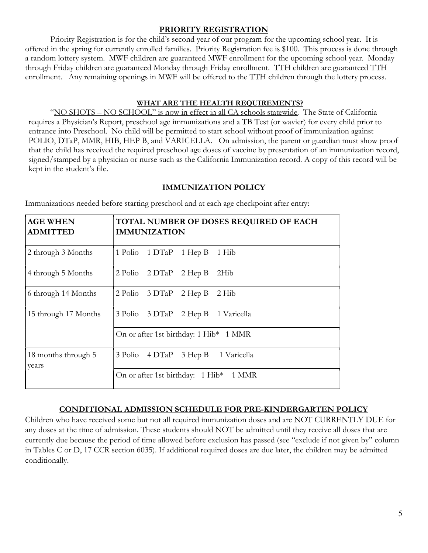#### PRIORITY REGISTRATION

Priority Registration is for the child's second year of our program for the upcoming school year. It is offered in the spring for currently enrolled families. Priority Registration fee is \$100. This process is done through a random lottery system. MWF children are guaranteed MWF enrollment for the upcoming school year. Monday through Friday children are guaranteed Monday through Friday enrollment. TTH children are guaranteed TTH enrollment. Any remaining openings in MWF will be offered to the TTH children through the lottery process.

#### WHAT ARE THE HEALTH REQUIREMENTS?

"NO SHOTS – NO SCHOOL" is now in effect in all CA schools statewide. The State of California requires a Physician's Report, preschool age immunizations and a TB Test (or wavier) for every child prior to entrance into Preschool. No child will be permitted to start school without proof of immunization against POLIO, DTaP, MMR, HIB, HEP B, and VARICELLA. On admission, the parent or guardian must show proof that the child has received the required preschool age doses of vaccine by presentation of an immunization record, signed/stamped by a physician or nurse such as the California Immunization record. A copy of this record will be kept in the student's file.

#### IMMUNIZATION POLICY

| <b>AGE WHEN</b><br><b>ADMITTED</b> | TOTAL NUMBER OF DOSES REQUIRED OF EACH<br><b>IMMUNIZATION</b>               |  |  |
|------------------------------------|-----------------------------------------------------------------------------|--|--|
| 2 through 3 Months                 | 1 Polio 1 DTaP 1 Hep B<br>1 Hib                                             |  |  |
| 4 through 5 Months                 | $2 \text{ Polio}$ $2 \text{ DTaP}$ $2 \text{ Hep B}$<br>2Hib                |  |  |
| 6 through 14 Months                | 2 Polio 3 DTaP<br>$2$ Hep B<br>2 Hib                                        |  |  |
| 15 through 17 Months               | $3 \text{ Polio} \quad 3 \text{ DTaP} \quad 2 \text{ Hep B}$<br>1 Varicella |  |  |
|                                    | On or after 1st birthday: 1 Hib* 1 MMR                                      |  |  |
| 18 months through 5<br>years       | 3 Polio 4 DTaP<br>3 Hep B<br>1 Varicella                                    |  |  |
|                                    | On or after 1st birthday: 1 Hib* 1 MMR                                      |  |  |

Immunizations needed before starting preschool and at each age checkpoint after entry:

## CONDITIONAL ADMISSION SCHEDULE FOR PRE-KINDERGARTEN POLICY

Children who have received some but not all required immunization doses and are NOT CURRENTLY DUE for any doses at the time of admission. These students should NOT be admitted until they receive all doses that are currently due because the period of time allowed before exclusion has passed (see "exclude if not given by" column in Tables C or D, 17 CCR section 6035). If additional required doses are due later, the children may be admitted conditionally.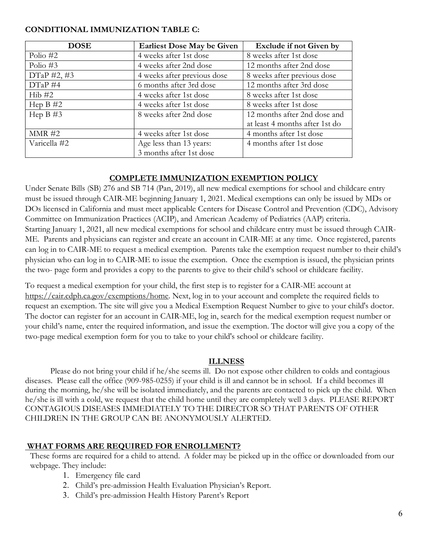#### CONDITIONAL IMMUNIZATION TABLE C:

| <b>DOSE</b>     | <b>Earliest Dose May be Given</b> | Exclude if not Given by        |
|-----------------|-----------------------------------|--------------------------------|
| Polio $#2$      | 4 weeks after 1st dose            | 8 weeks after 1st dose         |
| Polio $#3$      | 4 weeks after 2nd dose            | 12 months after 2nd dose       |
| $DTaP \#2, \#3$ | 4 weeks after previous dose       | 8 weeks after previous dose    |
| $DTaP \#4$      | 6 months after 3rd dose           | 12 months after 3rd dose       |
| Hib#2           | 4 weeks after 1st dose            | 8 weeks after 1st dose         |
| Hep $B \#2$     | 4 weeks after 1st dose            | 8 weeks after 1st dose         |
| Hep $B \#3$     | 8 weeks after 2nd dose            | 12 months after 2nd dose and   |
|                 |                                   | at least 4 months after 1st do |
| MMR #2          | 4 weeks after 1st dose            | 4 months after 1st dose        |
| Varicella #2    | Age less than 13 years:           | 4 months after 1st dose        |
|                 | 3 months after 1st dose           |                                |

#### COMPLETE IMMUNIZATION EXEMPTION POLICY

Under Senate Bills (SB) 276 and SB 714 (Pan, 2019), all new medical exemptions for school and childcare entry must be issued through CAIR-ME beginning January 1, 2021. Medical exemptions can only be issued by MDs or DOs licensed in California and must meet applicable Centers for Disease Control and Prevention (CDC), Advisory Committee on Immunization Practices (ACIP), and American Academy of Pediatrics (AAP) criteria. Starting January 1, 2021, all new medical exemptions for school and childcare entry must be issued through CAIR-ME. Parents and physicians can register and create an account in CAIR-ME at any time. Once registered, parents can log in to CAIR-ME to request a medical exemption. Parents take the exemption request number to their child's physician who can log in to CAIR-ME to issue the exemption. Once the exemption is issued, the physician prints the two- page form and provides a copy to the parents to give to their child's school or childcare facility.

To request a medical exemption for your child, the first step is to register for a CAIR-ME account at https://cair.cdph.ca.gov/exemptions/home. Next, log in to your account and complete the required fields to request an exemption. The site will give you a Medical Exemption Request Number to give to your child's doctor. The doctor can register for an account in CAIR-ME, log in, search for the medical exemption request number or your child's name, enter the required information, and issue the exemption. The doctor will give you a copy of the two-page medical exemption form for you to take to your child's school or childcare facility.

#### ILLNESS

Please do not bring your child if he/she seems ill. Do not expose other children to colds and contagious diseases. Please call the office (909-985-0255) if your child is ill and cannot be in school. If a child becomes ill during the morning, he/she will be isolated immediately, and the parents are contacted to pick up the child. When he/she is ill with a cold, we request that the child home until they are completely well 3 days. PLEASE REPORT CONTAGIOUS DISEASES IMMEDIATELY TO THE DIRECTOR SO THAT PARENTS OF OTHER CHILDREN IN THE GROUP CAN BE ANONYMOUSLY ALERTED.

#### WHAT FORMS ARE REQUIRED FOR ENROLLMENT?

These forms are required for a child to attend. A folder may be picked up in the office or downloaded from our webpage. They include:

- 1. Emergency file card
- 2. Child's pre-admission Health Evaluation Physician's Report.
- 3. Child's pre-admission Health History Parent's Report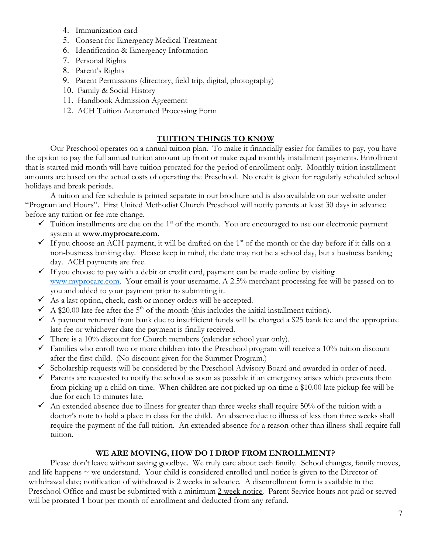- 4. Immunization card
- 5. Consent for Emergency Medical Treatment
- 6. Identification & Emergency Information
- 7. Personal Rights
- 8. Parent's Rights
- 9. Parent Permissions (directory, field trip, digital, photography)
- 10. Family & Social History
- 11. Handbook Admission Agreement
- 12. ACH Tuition Automated Processing Form

#### TUITION THINGS TO KNOW

Our Preschool operates on a annual tuition plan. To make it financially easier for families to pay, you have the option to pay the full annual tuition amount up front or make equal monthly installment payments. Enrollment that is started mid month will have tuition prorated for the period of enrollment only. Monthly tuition installment amounts are based on the actual costs of operating the Preschool. No credit is given for regularly scheduled school holidays and break periods.

A tuition and fee schedule is printed separate in our brochure and is also available on our website under "Program and Hours". First United Methodist Church Preschool will notify parents at least 30 days in advance before any tuition or fee rate change.

- $\checkmark$  Tuition installments are due on the 1<sup>st</sup> of the month. You are encouraged to use our electronic payment system at www.myprocare.com.
- If you choose an ACH payment, it will be drafted on the 1<sup>st</sup> of the month or the day before if it falls on a non-business banking day. Please keep in mind, the date may not be a school day, but a business banking day. ACH payments are free.
- $\checkmark$  If you choose to pay with a debit or credit card, payment can be made online by visiting www.myprocare.com. Your email is your username. A 2.5% merchant processing fee will be passed on to you and added to your payment prior to submitting it.
- $\checkmark$  As a last option, check, cash or money orders will be accepted.
- $\sim$  A \$20.00 late fee after the 5<sup>th</sup> of the month (this includes the initial installment tuition).
- $\sim$  A payment returned from bank due to insufficient funds will be charged a \$25 bank fee and the appropriate late fee or whichever date the payment is finally received.
- There is a 10% discount for Church members (calendar school year only).
- $\checkmark$  Families who enroll two or more children into the Preschool program will receive a 10% tuition discount after the first child. (No discount given for the Summer Program.)
- $\checkmark$  Scholarship requests will be considered by the Preschool Advisory Board and awarded in order of need.
- $\checkmark$  Parents are requested to notify the school as soon as possible if an emergency arises which prevents them from picking up a child on time. When children are not picked up on time a \$10.00 late pickup fee will be due for each 15 minutes late.
- An extended absence due to illness for greater than three weeks shall require 50% of the tuition with a doctor's note to hold a place in class for the child. An absence due to illness of less than three weeks shall require the payment of the full tuition. An extended absence for a reason other than illness shall require full tuition.

#### WE ARE MOVING, HOW DO I DROP FROM ENROLLMENT?

 Please don't leave without saying goodbye. We truly care about each family. School changes, family moves, and life happens  $\sim$  we understand. Your child is considered enrolled until notice is given to the Director of withdrawal date; notification of withdrawal is 2 weeks in advance. A disenrollment form is available in the Preschool Office and must be submitted with a minimum 2 week notice. Parent Service hours not paid or served will be prorated 1 hour per month of enrollment and deducted from any refund.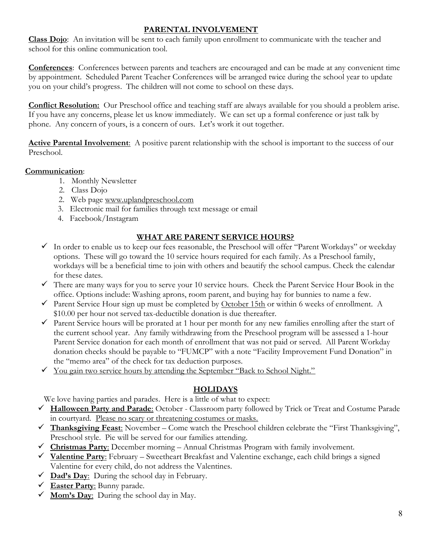## PARENTAL INVOLVEMENT

Class Dojo: An invitation will be sent to each family upon enrollment to communicate with the teacher and school for this online communication tool.

Conferences: Conferences between parents and teachers are encouraged and can be made at any convenient time by appointment. Scheduled Parent Teacher Conferences will be arranged twice during the school year to update you on your child's progress. The children will not come to school on these days.

**Conflict Resolution:** Our Preschool office and teaching staff are always available for you should a problem arise. If you have any concerns, please let us know immediately. We can set up a formal conference or just talk by phone. Any concern of yours, is a concern of ours. Let's work it out together.

**Active Parental Involvement:** A positive parent relationship with the school is important to the success of our Preschool.

## Communication:

- 1. Monthly Newsletter
- 2. Class Dojo
- 2. Web page www.uplandpreschool.com
- 3. Electronic mail for families through text message or email
- 4. Facebook/Instagram

## WHAT ARE PARENT SERVICE HOURS?

- In order to enable us to keep our fees reasonable, the Preschool will offer "Parent Workdays" or weekday options. These will go toward the 10 service hours required for each family. As a Preschool family, workdays will be a beneficial time to join with others and beautify the school campus. Check the calendar for these dates.
- There are many ways for you to serve your 10 service hours. Check the Parent Service Hour Book in the office. Options include: Washing aprons, room parent, and buying hay for bunnies to name a few.
- $\checkmark$  Parent Service Hour sign up must be completed by October 15th or within 6 weeks of enrollment. A \$10.00 per hour not served tax-deductible donation is due thereafter.
- Parent Service hours will be prorated at 1 hour per month for any new families enrolling after the start of the current school year. Any family withdrawing from the Preschool program will be assessed a 1-hour Parent Service donation for each month of enrollment that was not paid or served. All Parent Workday donation checks should be payable to "FUMCP" with a note "Facility Improvement Fund Donation" in the "memo area" of the check for tax deduction purposes.
- You gain two service hours by attending the September "Back to School Night."

## **HOLIDAYS**

We love having parties and parades. Here is a little of what to expect:

- $\checkmark$  Halloween Party and Parade: October Classroom party followed by Trick or Treat and Costume Parade in courtyard. Please no scary or threatening costumes or masks.
- $\checkmark$  Thanksgiving Feast: November Come watch the Preschool children celebrate the "First Thanksgiving", Preschool style. Pie will be served for our families attending.
- $\checkmark$  Christmas Party: December morning Annual Christmas Program with family involvement.
- $\checkmark$  Valentine Party: February Sweetheart Breakfast and Valentine exchange, each child brings a signed Valentine for every child, do not address the Valentines.
- $\checkmark$  Dad's Day: During the school day in February.
- $\checkmark$  Easter Party: Bunny parade.
- $\checkmark$  Mom's <u>Day:</u> During the school day in May.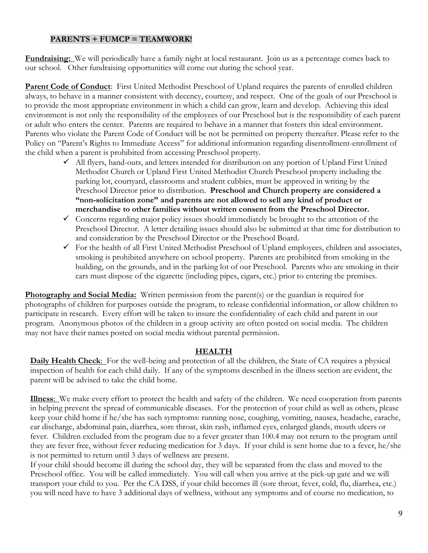#### PARENTS + FUMCP = TEAMWORK!

Fundraising: We will periodically have a family night at local restaurant. Join us as a percentage comes back to our school. Other fundraising opportunities will come out during the school year.

Parent Code of Conduct: First United Methodist Preschool of Upland requires the parents of enrolled children always, to behave in a manner consistent with decency, courtesy, and respect. One of the goals of our Preschool is to provide the most appropriate environment in which a child can grow, learn and develop. Achieving this ideal environment is not only the responsibility of the employees of our Preschool but is the responsibility of each parent or adult who enters the center. Parents are required to behave in a manner that fosters this ideal environment. Parents who violate the Parent Code of Conduct will be not be permitted on property thereafter. Please refer to the Policy on "Parent's Rights to Immediate Access" for additional information regarding disenrollment-enrollment of the child when a parent is prohibited from accessing Preschool property.

- $\checkmark$  All flyers, hand-outs, and letters intended for distribution on any portion of Upland First United Methodist Church or Upland First United Methodist Church Preschool property including the parking lot, courtyard, classrooms and student cubbies, must be approved in writing by the Preschool Director prior to distribution. Preschool and Church property are considered a "non-solicitation zone" and parents are not allowed to sell any kind of product or merchandise to other families without written consent from the Preschool Director.
- $\checkmark$  Concerns regarding major policy issues should immediately be brought to the attention of the Preschool Director. A letter detailing issues should also be submitted at that time for distribution to and consideration by the Preschool Director or the Preschool Board.
- $\checkmark$  For the health of all First United Methodist Preschool of Upland employees, children and associates, smoking is prohibited anywhere on school property. Parents are prohibited from smoking in the building, on the grounds, and in the parking lot of our Preschool. Parents who are smoking in their cars must dispose of the cigarette (including pipes, cigars, etc.) prior to entering the premises.

**Photography and Social Media:** Written permission from the parent(s) or the guardian is required for photographs of children for purposes outside the program, to release confidential information, or allow children to participate in research. Every effort will be taken to insure the confidentiality of each child and parent in our program. Anonymous photos of the children in a group activity are often posted on social media. The children may not have their names posted on social media without parental permission.

#### HEALTH

Daily Health Check: For the well-being and protection of all the children, the State of CA requires a physical inspection of health for each child daily. If any of the symptoms described in the illness section are evident, the parent will be advised to take the child home.

Illness: We make every effort to protect the health and safety of the children. We need cooperation from parents in helping prevent the spread of communicable diseases. For the protection of your child as well as others, please keep your child home if he/she has such symptoms: running nose, coughing, vomiting, nausea, headache, earache, ear discharge, abdominal pain, diarrhea, sore throat, skin rash, inflamed eyes, enlarged glands, mouth ulcers or fever. Children excluded from the program due to a fever greater than 100.4 may not return to the program until they are fever free, without fever reducing medication for 3 days. If your child is sent home due to a fever, he/she is not permitted to return until 3 days of wellness are present.

If your child should become ill during the school day, they will be separated from the class and moved to the Preschool office. You will be called immediately. You will call when you arrive at the pick-up gate and we will transport your child to you. Per the CA DSS, if your child becomes ill (sore throat, fever, cold, flu, diarrhea, etc.) you will need have to have 3 additional days of wellness, without any symptoms and of course no medication, to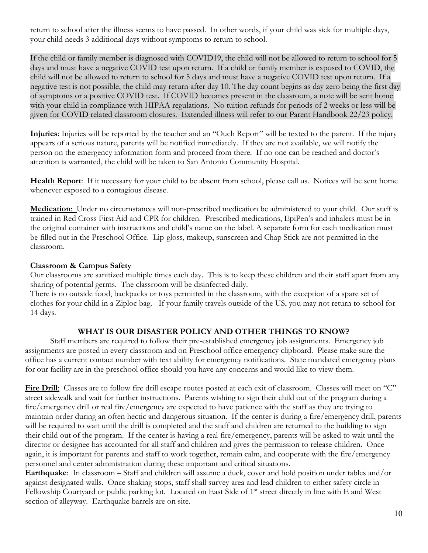return to school after the illness seems to have passed. In other words, if your child was sick for multiple days, your child needs 3 additional days without symptoms to return to school.

If the child or family member is diagnosed with COVID19, the child will not be allowed to return to school for 5 days and must have a negative COVID test upon return. If a child or family member is exposed to COVID, the child will not be allowed to return to school for 5 days and must have a negative COVID test upon return. If a negative test is not possible, the child may return after day 10. The day count begins as day zero being the first day of symptoms or a positive COVID test. If COVID becomes present in the classroom, a note will be sent home with your child in compliance with HIPAA regulations. No tuition refunds for periods of 2 weeks or less will be given for COVID related classroom closures. Extended illness will refer to our Parent Handbook 22/23 policy.

Injuries: Injuries will be reported by the teacher and an "Ouch Report" will be texted to the parent. If the injury appears of a serious nature, parents will be notified immediately. If they are not available, we will notify the person on the emergency information form and proceed from there. If no one can be reached and doctor's attention is warranted, the child will be taken to San Antonio Community Hospital.

Health Report: If it necessary for your child to be absent from school, please call us. Notices will be sent home whenever exposed to a contagious disease.

Medication: Under no circumstances will non-prescribed medication be administered to your child. Our staff is trained in Red Cross First Aid and CPR for children. Prescribed medications, EpiPen's and inhalers must be in the original container with instructions and child's name on the label. A separate form for each medication must be filled out in the Preschool Office. Lip-gloss, makeup, sunscreen and Chap Stick are not permitted in the classroom.

#### Classroom & Campus Safety

Our classrooms are sanitized multiple times each day. This is to keep these children and their staff apart from any sharing of potential germs. The classroom will be disinfected daily.

There is no outside food, backpacks or toys permitted in the classroom, with the exception of a spare set of clothes for your child in a Ziploc bag. If your family travels outside of the US, you may not return to school for 14 days.

#### WHAT IS OUR DISASTER POLICY AND OTHER THINGS TO KNOW?

 Staff members are required to follow their pre-established emergency job assignments. Emergency job assignments are posted in every classroom and on Preschool office emergency clipboard. Please make sure the office has a current contact number with text ability for emergency notifications. State mandated emergency plans for our facility are in the preschool office should you have any concerns and would like to view them.

Fire Drill: Classes are to follow fire drill escape routes posted at each exit of classroom. Classes will meet on "C" street sidewalk and wait for further instructions. Parents wishing to sign their child out of the program during a fire/emergency drill or real fire/emergency are expected to have patience with the staff as they are trying to maintain order during an often hectic and dangerous situation. If the center is during a fire/emergency drill, parents will be required to wait until the drill is completed and the staff and children are returned to the building to sign their child out of the program. If the center is having a real fire/emergency, parents will be asked to wait until the director or designee has accounted for all staff and children and gives the permission to release children. Once again, it is important for parents and staff to work together, remain calm, and cooperate with the fire/emergency personnel and center administration during these important and critical situations.

Earthquake: In classroom – Staff and children will assume a duck, cover and hold position under tables and/or against designated walls. Once shaking stops, staff shall survey area and lead children to either safety circle in Fellowship Courtyard or public parking lot. Located on East Side of 1<sup>st</sup> street directly in line with E and West section of alleyway. Earthquake barrels are on site.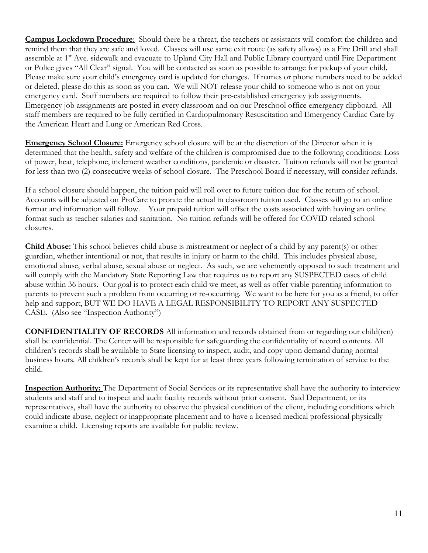Campus Lockdown Procedure: Should there be a threat, the teachers or assistants will comfort the children and remind them that they are safe and loved. Classes will use same exit route (as safety allows) as a Fire Drill and shall assemble at 1<sup>st</sup> Ave. sidewalk and evacuate to Upland City Hall and Public Library courtyard until Fire Department or Police gives "All Clear" signal. You will be contacted as soon as possible to arrange for pickup of your child. Please make sure your child's emergency card is updated for changes. If names or phone numbers need to be added or deleted, please do this as soon as you can. We will NOT release your child to someone who is not on your emergency card. Staff members are required to follow their pre-established emergency job assignments. Emergency job assignments are posted in every classroom and on our Preschool office emergency clipboard. All staff members are required to be fully certified in Cardiopulmonary Resuscitation and Emergency Cardiac Care by the American Heart and Lung or American Red Cross.

Emergency School Closure: Emergency school closure will be at the discretion of the Director when it is determined that the health, safety and welfare of the children is compromised due to the following conditions: Loss of power, heat, telephone, inclement weather conditions, pandemic or disaster. Tuition refunds will not be granted for less than two (2) consecutive weeks of school closure. The Preschool Board if necessary, will consider refunds.

If a school closure should happen, the tuition paid will roll over to future tuition due for the return of school. Accounts will be adjusted on ProCare to prorate the actual in classroom tuition used. Classes will go to an online format and information will follow. Your prepaid tuition will offset the costs associated with having an online format such as teacher salaries and sanitation. No tuition refunds will be offered for COVID related school closures.

Child Abuse: This school believes child abuse is mistreatment or neglect of a child by any parent(s) or other guardian, whether intentional or not, that results in injury or harm to the child. This includes physical abuse, emotional abuse, verbal abuse, sexual abuse or neglect. As such, we are vehemently opposed to such treatment and will comply with the Mandatory State Reporting Law that requires us to report any SUSPECTED cases of child abuse within 36 hours. Our goal is to protect each child we meet, as well as offer viable parenting information to parents to prevent such a problem from occurring or re-occurring. We want to be here for you as a friend, to offer help and support, BUT WE DO HAVE A LEGAL RESPONSIBILITY TO REPORT ANY SUSPECTED CASE. (Also see "Inspection Authority")

CONFIDENTIALITY OF RECORDS All information and records obtained from or regarding our child(ren) shall be confidential. The Center will be responsible for safeguarding the confidentiality of record contents. All children's records shall be available to State licensing to inspect, audit, and copy upon demand during normal business hours. All children's records shall be kept for at least three years following termination of service to the child.

Inspection Authority: The Department of Social Services or its representative shall have the authority to interview students and staff and to inspect and audit facility records without prior consent. Said Department, or its representatives, shall have the authority to observe the physical condition of the client, including conditions which could indicate abuse, neglect or inappropriate placement and to have a licensed medical professional physically examine a child. Licensing reports are available for public review.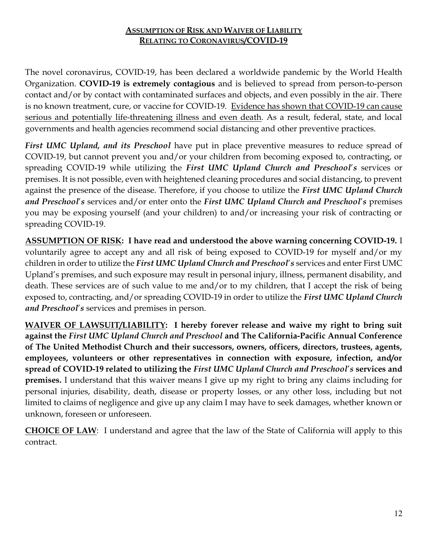## **ASSUMPTION OF RISK AND WAIVER OF LIABILITY** RELATING TO CORONAVIRUS/COVID-19

The novel coronavirus, COVID-19, has been declared a worldwide pandemic by the World Health Organization. COVID-19 is extremely contagious and is believed to spread from person-to-person contact and/or by contact with contaminated surfaces and objects, and even possibly in the air. There is no known treatment, cure, or vaccine for COVID-19. Evidence has shown that COVID-19 can cause serious and potentially life-threatening illness and even death. As a result, federal, state, and local governments and health agencies recommend social distancing and other preventive practices.

First UMC Upland, and its Preschool have put in place preventive measures to reduce spread of COVID-19, but cannot prevent you and/or your children from becoming exposed to, contracting, or spreading COVID-19 while utilizing the First UMC Upland Church and Preschool's services or premises. It is not possible, even with heightened cleaning procedures and social distancing, to prevent against the presence of the disease. Therefore, if you choose to utilize the First UMC Upland Church and Preschool's services and/or enter onto the First UMC Upland Church and Preschool's premises you may be exposing yourself (and your children) to and/or increasing your risk of contracting or spreading COVID-19.

ASSUMPTION OF RISK: I have read and understood the above warning concerning COVID-19. I voluntarily agree to accept any and all risk of being exposed to COVID-19 for myself and/or my children in order to utilize the First UMC Upland Church and Preschool's services and enter First UMC Upland's premises, and such exposure may result in personal injury, illness, permanent disability, and death. These services are of such value to me and/or to my children, that I accept the risk of being exposed to, contracting, and/or spreading COVID-19 in order to utilize the First UMC Upland Church and Preschool's services and premises in person.

WAIVER OF LAWSUIT/LIABILITY: I hereby forever release and waive my right to bring suit against the First UMC Upland Church and Preschool and The California-Pacific Annual Conference of The United Methodist Church and their successors, owners, officers, directors, trustees, agents, employees, volunteers or other representatives in connection with exposure, infection, and/or spread of COVID-19 related to utilizing the First UMC Upland Church and Preschool's services and premises. I understand that this waiver means I give up my right to bring any claims including for personal injuries, disability, death, disease or property losses, or any other loss, including but not limited to claims of negligence and give up any claim I may have to seek damages, whether known or unknown, foreseen or unforeseen.

CHOICE OF LAW: I understand and agree that the law of the State of California will apply to this contract.